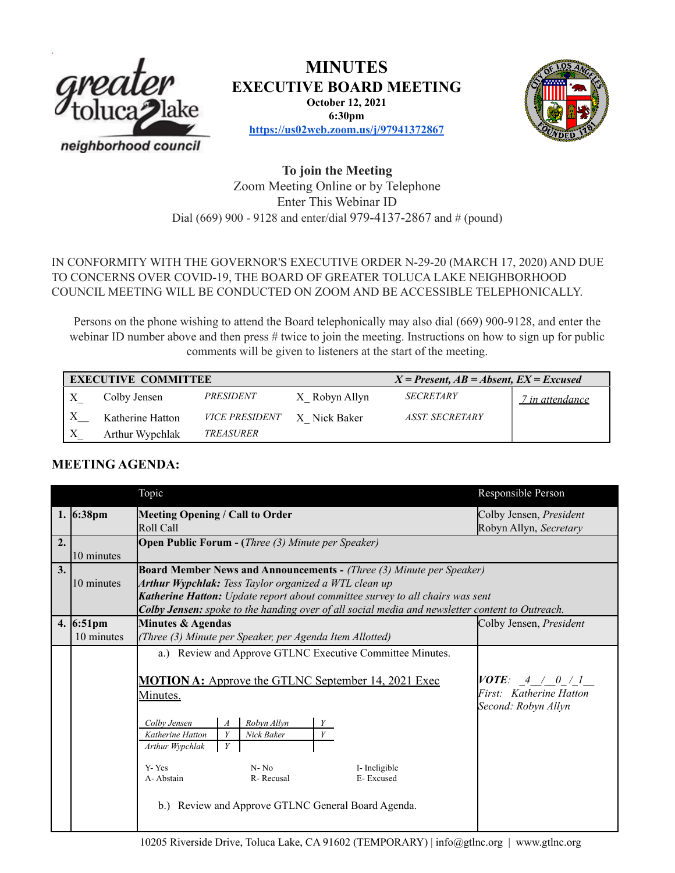

# **MINUTES**

**EXECUTIVE BOARD MEETING October 12, 2021**

**6:30pm**



**<https://us02web.zoom.us/j/97941372867>**

## **To join the Meeting** Zoom Meeting Online or by Telephone Enter This Webinar ID Dial (669) 900 - 9128 and enter/dial 979-4137-2867 and # (pound)

## IN CONFORMITY WITH THE GOVERNOR'S EXECUTIVE ORDER N-29-20 (MARCH 17, 2020) AND DUE TO CONCERNS OVER COVID-19, THE BOARD OF GREATER TOLUCA LAKE NEIGHBORHOOD COUNCIL MEETING WILL BE CONDUCTED ON ZOOM AND BE ACCESSIBLE TELEPHONICALLY.

Persons on the phone wishing to attend the Board telephonically may also dial (669) 900-9128, and enter the webinar ID number above and then press # twice to join the meeting. Instructions on how to sign up for public comments will be given to listeners at the start of the meeting.

| <b>EXECUTIVE COMMITTEE</b> | $X = Present, AB = Absent, EX = Excused$ |                       |               |                               |                 |
|----------------------------|------------------------------------------|-----------------------|---------------|-------------------------------|-----------------|
|                            | Colby Jensen                             | PRESIDENT             | X Robyn Allyn | <b>SECRETARY</b>              | 7 in attendance |
|                            | Katherine Hatton                         | <i>VICE PRESIDENT</i> | X Nick Baker  | <i><b>ASST. SECRETARY</b></i> |                 |
|                            | Arthur Wypchlak                          | <i>TREASURER</i>      |               |                               |                 |

# **MEETING AGENDA:**

|    |                                   | Topic                                                                                                                                                                                                                                                                                                                                  |                                                                                                                                                                                                                                             | Responsible Person                                                       |  |  |
|----|-----------------------------------|----------------------------------------------------------------------------------------------------------------------------------------------------------------------------------------------------------------------------------------------------------------------------------------------------------------------------------------|---------------------------------------------------------------------------------------------------------------------------------------------------------------------------------------------------------------------------------------------|--------------------------------------------------------------------------|--|--|
|    | 1. $6:38 \text{pm}$               | <b>Meeting Opening / Call to Order</b><br>Roll Call                                                                                                                                                                                                                                                                                    |                                                                                                                                                                                                                                             | Colby Jensen, President<br>Robyn Allyn, Secretary                        |  |  |
| 2. | 10 minutes                        | <b>Open Public Forum - (Three (3) Minute per Speaker)</b>                                                                                                                                                                                                                                                                              |                                                                                                                                                                                                                                             |                                                                          |  |  |
| 3. | 10 minutes                        | <b>Board Member News and Announcements - (Three (3) Minute per Speaker)</b><br><b>Arthur Wypchlak:</b> Tess Taylor organized a WTL clean up<br>Katherine Hatton: Update report about committee survey to all chairs was sent<br><b>Colby Jensen:</b> spoke to the handing over of all social media and newsletter content to Outreach. |                                                                                                                                                                                                                                             |                                                                          |  |  |
|    | 4. $6:51 \text{pm}$<br>10 minutes | Minutes & Agendas<br>(Three (3) Minute per Speaker, per Agenda Item Allotted)                                                                                                                                                                                                                                                          | Colby Jensen, <i>President</i>                                                                                                                                                                                                              |                                                                          |  |  |
|    |                                   | Minutes.<br>Colby Jensen<br>$\boldsymbol{A}$<br>Katherine Hatton<br>Y<br>Nick Baker<br>Y<br>Arthur Wypchlak<br>Y-Yes<br>$N - No$<br>A-Abstain                                                                                                                                                                                          | a.) Review and Approve GTLNC Executive Committee Minutes.<br><b>MOTION A:</b> Approve the GTLNC September 14, 2021 Exec<br>Robyn Allyn<br>Y<br>I-Ineligible<br>R-Recusal<br>E-Excused<br>b.) Review and Approve GTLNC General Board Agenda. | <b>VOTE:</b> 4 / 0 / 1<br>First: Katherine Hatton<br>Second: Robyn Allyn |  |  |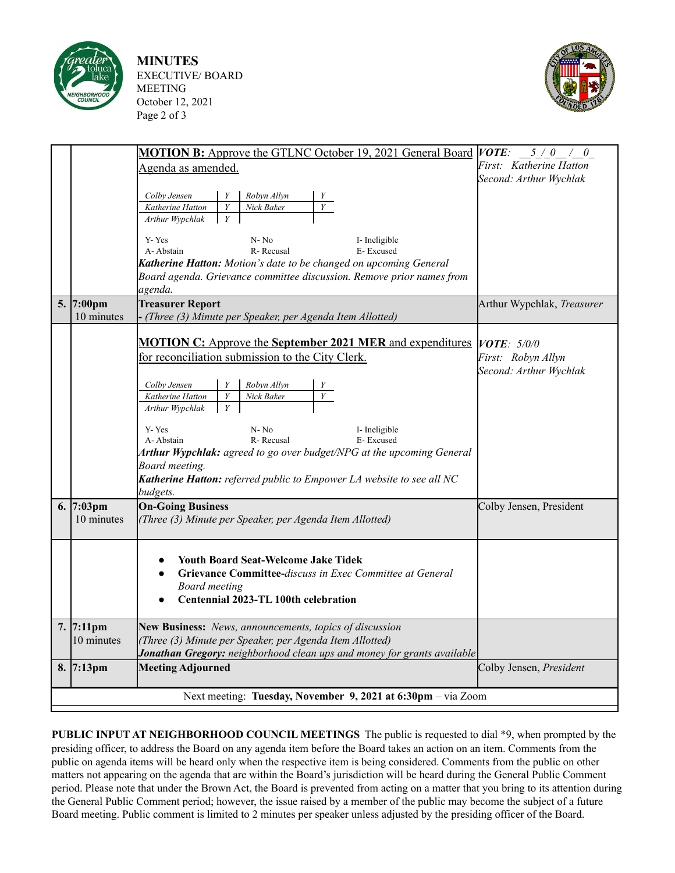

**MINUTES** EXECUTIVE/ BOARD MEETING October 12, 2021 Page 2 of 3



| First: Katherine Hatton<br>Agenda as amended.<br>Second: Arthur Wychlak<br>Colby Jensen<br>Robyn Allyn<br>Y                                                                                                                         |  |  |  |  |  |  |  |
|-------------------------------------------------------------------------------------------------------------------------------------------------------------------------------------------------------------------------------------|--|--|--|--|--|--|--|
|                                                                                                                                                                                                                                     |  |  |  |  |  |  |  |
| Katherine Hatton<br>Y<br>Nick Baker<br>Arthur Wypchlak<br>Y                                                                                                                                                                         |  |  |  |  |  |  |  |
| Y-Yes<br>N-No<br>I- Ineligible<br>E-Excused<br>A-Abstain<br>R-Recusal                                                                                                                                                               |  |  |  |  |  |  |  |
| Katherine Hatton: Motion's date to be changed on upcoming General                                                                                                                                                                   |  |  |  |  |  |  |  |
| Board agenda. Grievance committee discussion. Remove prior names from                                                                                                                                                               |  |  |  |  |  |  |  |
| agenda.<br>5.<br>7:00 <sub>pm</sub><br><b>Treasurer Report</b><br>Arthur Wypchlak, Treasurer                                                                                                                                        |  |  |  |  |  |  |  |
| 10 minutes<br>(Three (3) Minute per Speaker, per Agenda Item Allotted)                                                                                                                                                              |  |  |  |  |  |  |  |
| <b>MOTION C:</b> Approve the September 2021 MER and expenditures $ VOTE $ : 5/0/0<br>for reconciliation submission to the City Clerk.<br>First: Robyn Allyn<br>Second: Arthur Wychlak                                               |  |  |  |  |  |  |  |
| Y<br>Robyn Allyn<br>Colby Jensen<br>Y<br>Y<br>Katherine Hatton<br>Nick Baker<br>Arthur Wypchlak<br>Y                                                                                                                                |  |  |  |  |  |  |  |
| Y-Yes<br>N-No<br>I-Ineligible<br>A-Abstain<br>R-Recusal<br>E-Excused                                                                                                                                                                |  |  |  |  |  |  |  |
| Arthur Wypchlak: agreed to go over budget/NPG at the upcoming General                                                                                                                                                               |  |  |  |  |  |  |  |
| Board meeting.<br>Katherine Hatton: referred public to Empower LA website to see all NC                                                                                                                                             |  |  |  |  |  |  |  |
| budgets.                                                                                                                                                                                                                            |  |  |  |  |  |  |  |
| 6. $7:03 \text{pm}$<br><b>On-Going Business</b><br>Colby Jensen, President<br>10 minutes<br>(Three (3) Minute per Speaker, per Agenda Item Allotted)                                                                                |  |  |  |  |  |  |  |
| <b>Youth Board Seat-Welcome Jake Tidek</b><br>Grievance Committee-discuss in Exec Committee at General<br><b>Board</b> meeting<br>Centennial 2023-TL 100th celebration                                                              |  |  |  |  |  |  |  |
| 7. $7:11 \text{pm}$<br>New Business: News, announcements, topics of discussion<br>10 minutes<br>(Three (3) Minute per Speaker, per Agenda Item Allotted)<br>Jonathan Gregory: neighborhood clean ups and money for grants available |  |  |  |  |  |  |  |
| 8. $ 7:13$ pm<br><b>Meeting Adjourned</b><br>Colby Jensen, President                                                                                                                                                                |  |  |  |  |  |  |  |
| Next meeting: Tuesday, November 9, 2021 at 6:30pm - via Zoom                                                                                                                                                                        |  |  |  |  |  |  |  |

**PUBLIC INPUT AT NEIGHBORHOOD COUNCIL MEETINGS** The public is requested to dial \*9, when prompted by the presiding officer, to address the Board on any agenda item before the Board takes an action on an item. Comments from the public on agenda items will be heard only when the respective item is being considered. Comments from the public on other matters not appearing on the agenda that are within the Board's jurisdiction will be heard during the General Public Comment period. Please note that under the Brown Act, the Board is prevented from acting on a matter that you bring to its attention during the General Public Comment period; however, the issue raised by a member of the public may become the subject of a future Board meeting. Public comment is limited to 2 minutes per speaker unless adjusted by the presiding officer of the Board.